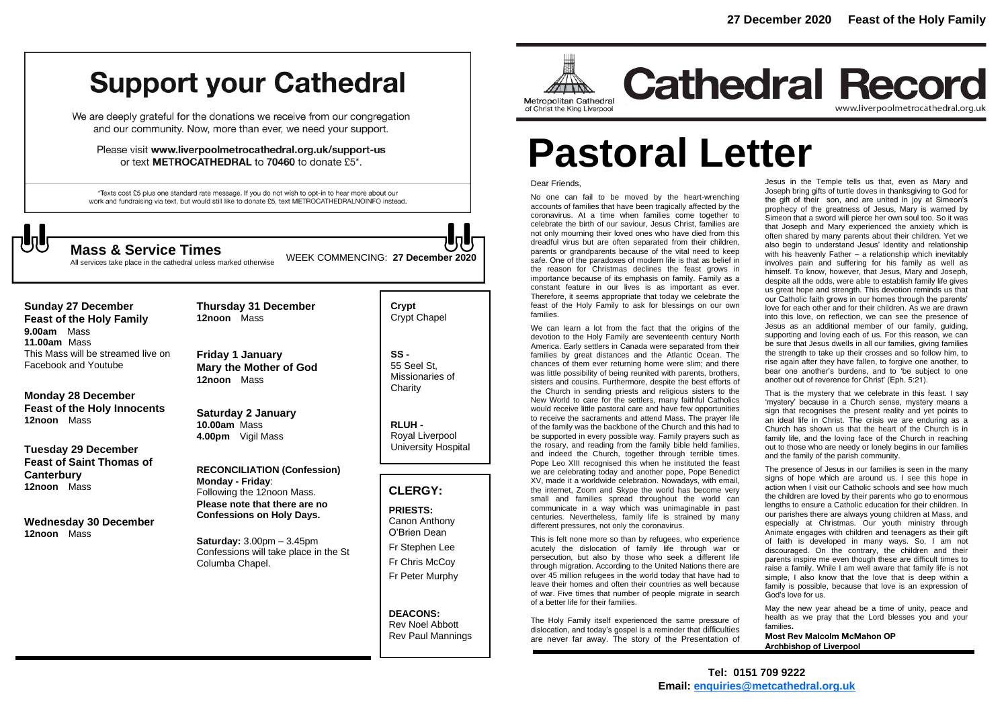## **Support your Cathedral**

We are deeply grateful for the donations we receive from our congregation and our community. Now, more than ever, we need your support.

Please visit www.liverpoolmetrocathedral.org.uk/support-us or text METROCATHEDRAL to 70460 to donate £5\*.

\*Texts cost £5 plus one standard rate message. If you do not wish to opt-in to hear more about our work and fundraising via text, but would still like to donate £5, text METROCATHEDRALNOINFO instead.

WEEK COMMENCING: **<sup>27</sup> December <sup>2020</sup> Mass & Service Times**

All services take place in the cathedral unless marked otherwise

#### **Sunday 27 December**

**Feast of the Holy Family 9.00am** Mass **11.00am** Mass This Mass will be streamed live on Facebook and Youtube

#### **Monday 28 December Feast of the Holy Innocents 12noon** Mass

**Tuesday 29 December Feast of Saint Thomas of Canterbury 12noon** Mass

**Wednesday 30 December 12noon** Mass

**Friday 1 January Mary the Mother of God 12noon** Mass

**Thursday 31 December**

**12noon** Mass

**Saturday 2 January 10.00am** Mass **4.00pm** Vigil Mass

**RECONCILIATION (Confession) Monday - Friday**: Following the 12noon Mass. **Please note that there are no Confessions on Holy Days.**

**Saturday:** 3.00pm – 3.45pm Confessions will take place in the St Columba Chapel.

**Crypt**  Crypt Chapel

**SS -** 55 Seel St, Missionaries of **Charity** 

**RLUH -** Royal Liverpool University Hospital

#### **CLERGY:**

**PRIESTS:** Canon Anthony O'Brien *Dean*

Fr Stephen Lee Fr Chris McCoy Fr Peter Murphy

**DEACONS:** Rev Noel Abbott Rev Paul Mannings



## **Cathedral Record** www.liverpoolmetrocathedral.org.uk

# **Pastoral Letter**

#### Dear Friends,

No one can fail to be moved by the heart-wrenching accounts of families that have been tragically affected by the coronavirus. At a time when families come together to celebrate the birth of our saviour, Jesus Christ, families are not only mourning their loved ones who have died from this dreadful virus but are often separated from their children, parents or grandparents because of the vital need to keep safe. One of the paradoxes of modern life is that as belief in the reason for Christmas declines the feast grows in importance because of its emphasis on family. Family as a constant feature in our lives is as important as ever. Therefore, it seems appropriate that today we celebrate the feast of the Holy Family to ask for blessings on our own families.

We can learn a lot from the fact that the origins of the devotion to the Holy Family are seventeenth century North America. Early settlers in Canada were separated from their families by great distances and the Atlantic Ocean. The chances of them ever returning home were slim; and there was little possibility of being reunited with parents, brothers, sisters and cousins. Furthermore, despite the best efforts of the Church in sending priests and religious sisters to the New World to care for the settlers, many faithful Catholics would receive little pastoral care and have few opportunities to receive the sacraments and attend Mass. The prayer life of the family was the backbone of the Church and this had to be supported in every possible way. Family prayers such as the rosary, and reading from the family bible held families, and indeed the Church, together through terrible times. Pope Leo XIII recognised this when he instituted the feast we are celebrating today and another pope, Pope Benedict XV, made it a worldwide celebration. Nowadays, with email, the internet, Zoom and Skype the world has become very small and families spread throughout the world can communicate in a way which was unimaginable in past centuries. Nevertheless, family life is strained by many different pressures, not only the coronavirus.

This is felt none more so than by refugees, who experience acutely the dislocation of family life through war or persecution, but also by those who seek a different life through migration. According to the United Nations there are over 45 million refugees in the world today that have had to leave their homes and often their countries as well because of war. Five times that number of people migrate in search of a better life for their families.

The Holy Family itself experienced the same pressure of dislocation, and today's gospel is a reminder that difficulties are never far away. The story of the Presentation of

Jesus in the Temple tells us that, even as Mary and Joseph bring gifts of turtle doves in thanksgiving to God for the gift of their son, and are united in joy at Simeon's prophecy of the greatness of Jesus, Mary is warned by Simeon that a sword will pierce her own soul too. So it was that Joseph and Mary experienced the anxiety which is often shared by many parents about their children. Yet we also begin to understand Jesus' identity and relationship with his heavenly Father – a relationship which inevitably involves pain and suffering for his family as well as himself. To know, however, that Jesus, Mary and Joseph, despite all the odds, were able to establish family life gives us great hope and strength. This devotion reminds us that our Catholic faith grows in our homes through the parents' love for each other and for their children. As we are drawn into this love, on reflection, we can see the presence of Jesus as an additional member of our family, guiding, supporting and loving each of us. For this reason, we can be sure that Jesus dwells in all our families, giving families the strength to take up their crosses and so follow him, to rise again after they have fallen, to forgive one another, to bear one another's burdens, and to 'be subject to one another out of reverence for Christ' (Eph. 5:21).

That is the mystery that we celebrate in this feast. I say 'mystery' because in a Church sense, mystery means a sign that recognises the present reality and yet points to an ideal life in Christ. The crisis we are enduring as a Church has shown us that the heart of the Church is in family life, and the loving face of the Church in reaching out to those who are needy or lonely begins in our families and the family of the parish community.

The presence of Jesus in our families is seen in the many signs of hope which are around us. I see this hope in action when I visit our Catholic schools and see how much the children are loved by their parents who go to enormous lengths to ensure a Catholic education for their children. In our parishes there are always young children at Mass, and especially at Christmas. Our youth ministry through Animate engages with children and teenagers as their gift of faith is developed in many ways. So, I am not discouraged. On the contrary, the children and their parents inspire me even though these are difficult times to raise a family. While I am well aware that family life is not simple, I also know that the love that is deep within a family is possible, because that love is an expression of God's love for us.

May the new year ahead be a time of unity, peace and health as we pray that the Lord blesses you and your families**.** 

**Most Rev Malcolm McMahon OP Archbishop of Liverpool**